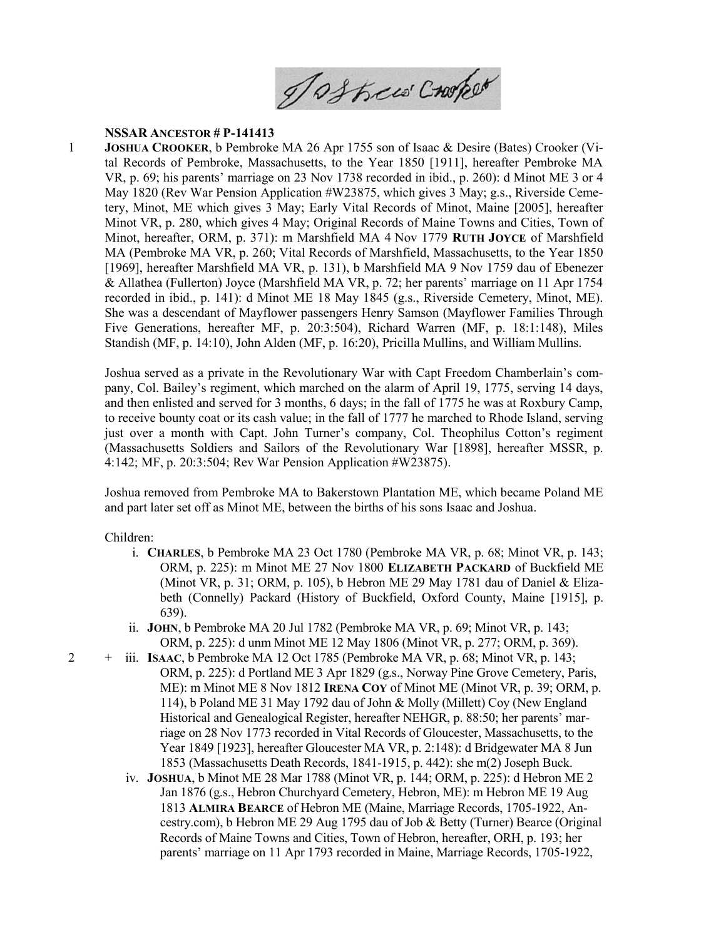Joshew Crooker

## NSSAR ANCESTOR # P-141413

1 JOSHUA CROOKER, b Pembroke MA 26 Apr 1755 son of Isaac & Desire (Bates) Crooker (Vital Records of Pembroke, Massachusetts, to the Year 1850 [1911], hereafter Pembroke MA VR, p. 69; his parents' marriage on 23 Nov 1738 recorded in ibid., p. 260): d Minot ME 3 or 4 May 1820 (Rev War Pension Application #W23875, which gives 3 May; g.s., Riverside Cemetery, Minot, ME which gives 3 May; Early Vital Records of Minot, Maine [2005], hereafter Minot VR, p. 280, which gives 4 May; Original Records of Maine Towns and Cities, Town of Minot, hereafter, ORM, p. 371): m Marshfield MA 4 Nov 1779 RUTH JOYCE of Marshfield MA (Pembroke MA VR, p. 260; Vital Records of Marshfield, Massachusetts, to the Year 1850 [1969], hereafter Marshfield MA VR, p. 131), b Marshfield MA 9 Nov 1759 dau of Ebenezer & Allathea (Fullerton) Joyce (Marshfield MA VR, p. 72; her parents' marriage on 11 Apr 1754 recorded in ibid., p. 141): d Minot ME 18 May 1845 (g.s., Riverside Cemetery, Minot, ME). She was a descendant of Mayflower passengers Henry Samson (Mayflower Families Through Five Generations, hereafter MF, p. 20:3:504), Richard Warren (MF, p. 18:1:148), Miles Standish (MF, p. 14:10), John Alden (MF, p. 16:20), Pricilla Mullins, and William Mullins.

Joshua served as a private in the Revolutionary War with Capt Freedom Chamberlain's company, Col. Bailey's regiment, which marched on the alarm of April 19, 1775, serving 14 days, and then enlisted and served for 3 months, 6 days; in the fall of 1775 he was at Roxbury Camp, to receive bounty coat or its cash value; in the fall of 1777 he marched to Rhode Island, serving just over a month with Capt. John Turner's company, Col. Theophilus Cotton's regiment (Massachusetts Soldiers and Sailors of the Revolutionary War [1898], hereafter MSSR, p. 4:142; MF, p. 20:3:504; Rev War Pension Application #W23875).

Joshua removed from Pembroke MA to Bakerstown Plantation ME, which became Poland ME and part later set off as Minot ME, between the births of his sons Isaac and Joshua.

## Children:

- i. CHARLES, b Pembroke MA 23 Oct 1780 (Pembroke MA VR, p. 68; Minot VR, p. 143; ORM, p. 225): m Minot ME 27 Nov 1800 ELIZABETH PACKARD of Buckfield ME (Minot VR, p. 31; ORM, p. 105), b Hebron ME 29 May 1781 dau of Daniel & Elizabeth (Connelly) Packard (History of Buckfield, Oxford County, Maine [1915], p. 639).
- ii. JOHN, b Pembroke MA 20 Jul 1782 (Pembroke MA VR, p. 69; Minot VR, p. 143; ORM, p. 225): d unm Minot ME 12 May 1806 (Minot VR, p. 277; ORM, p. 369).
- iii. ISAAC, b Pembroke MA 12 Oct 1785 (Pembroke MA VR, p. 68; Minot VR, p. 143; ORM, p. 225): d Portland ME 3 Apr 1829 (g.s., Norway Pine Grove Cemetery, Paris, ME): m Minot ME 8 Nov 1812 IRENA COY of Minot ME (Minot VR, p. 39; ORM, p. 114), b Poland ME 31 May 1792 dau of John & Molly (Millett) Coy (New England Historical and Genealogical Register, hereafter NEHGR, p. 88:50; her parents' marriage on 28 Nov 1773 recorded in Vital Records of Gloucester, Massachusetts, to the Year 1849 [1923], hereafter Gloucester MA VR, p. 2:148): d Bridgewater MA 8 Jun 1853 (Massachusetts Death Records, 1841-1915, p. 442): she m(2) Joseph Buck.
- iv. JOSHUA, b Minot ME 28 Mar 1788 (Minot VR, p. 144; ORM, p. 225): d Hebron ME 2 Jan 1876 (g.s., Hebron Churchyard Cemetery, Hebron, ME): m Hebron ME 19 Aug 1813 ALMIRA BEARCE of Hebron ME (Maine, Marriage Records, 1705-1922, Ancestry.com), b Hebron ME 29 Aug 1795 dau of Job & Betty (Turner) Bearce (Original Records of Maine Towns and Cities, Town of Hebron, hereafter, ORH, p. 193; her parents' marriage on 11 Apr 1793 recorded in Maine, Marriage Records, 1705-1922,

2